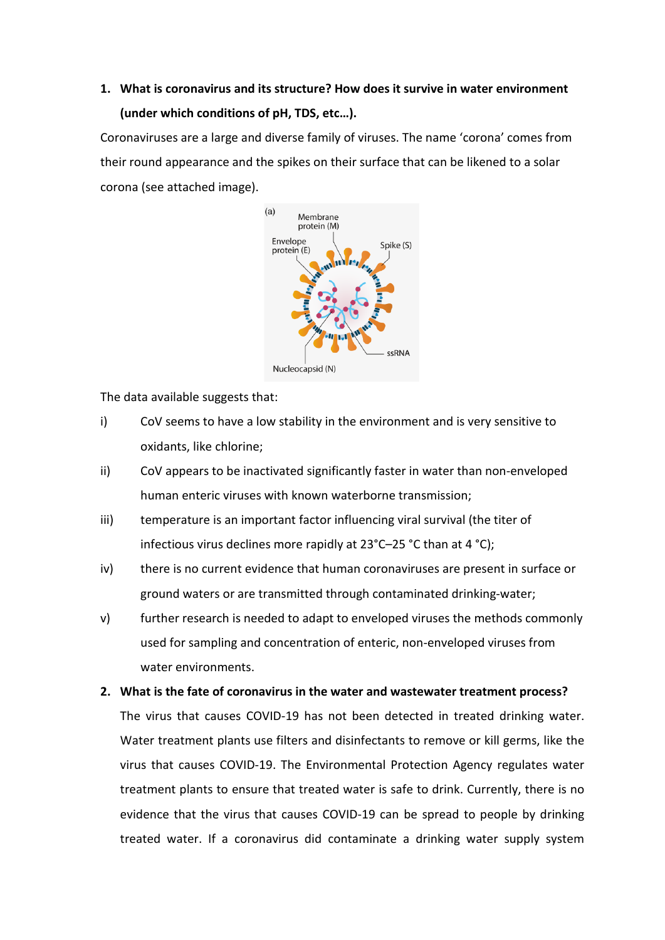# **1. What is coronavirus and its structure? How does it survive in water environment (under which conditions of pH, TDS, etc…).**

Coronaviruses are a large and diverse family of viruses. The name 'corona' comes from their round appearance and the spikes on their surface that can be likened to a solar corona (see attached image).



The data available suggests that:

- i) CoV seems to have a low stability in the environment and is very sensitive to oxidants, like chlorine;
- ii) CoV appears to be inactivated significantly faster in water than non-enveloped human enteric viruses with known waterborne transmission;
- iii) temperature is an important factor influencing viral survival (the titer of infectious virus declines more rapidly at 23°C–25 °C than at 4 °C);
- iv) there is no current evidence that human coronaviruses are present in surface or ground waters or are transmitted through contaminated drinking-water;
- v) further research is needed to adapt to enveloped viruses the methods commonly used for sampling and concentration of enteric, non-enveloped viruses from water environments.
- **2. What is the fate of coronavirus in the water and wastewater treatment process?**

The virus that causes COVID-19 has not been detected in treated drinking water. Water treatment plants use filters and disinfectants to remove or kill germs, like the virus that causes COVID-19. The Environmental Protection Agency regulates water treatment plants to ensure that treated water is safe to drink. Currently, there is no evidence that the virus that causes COVID-19 can be spread to people by drinking treated water. If a coronavirus did contaminate a drinking water supply system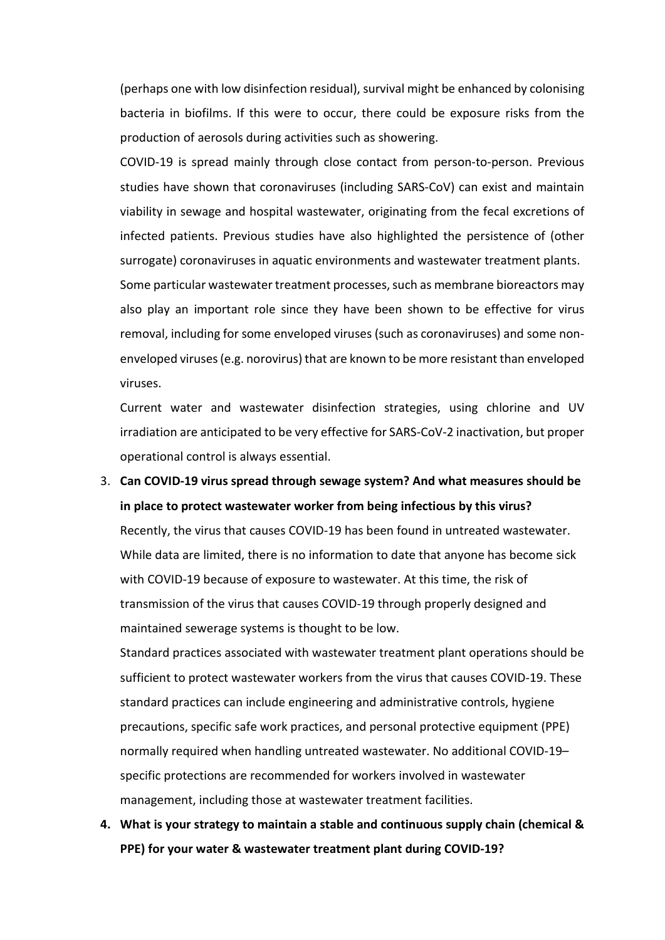(perhaps one with low disinfection residual), survival might be enhanced by colonising bacteria in biofilms. If this were to occur, there could be exposure risks from the production of aerosols during activities such as showering.

COVID-19 is spread mainly through close contact from person-to-person. Previous studies have shown that coronaviruses (including SARS-CoV) can exist and maintain viability in sewage and hospital wastewater, originating from the fecal excretions of infected patients. Previous studies have also highlighted the persistence of (other surrogate) coronaviruses in aquatic environments and wastewater treatment plants. Some particular wastewater treatment processes, such as membrane bioreactors may

also play an important role since they have been shown to be effective for virus removal, including for some enveloped viruses (such as coronaviruses) and some nonenveloped viruses (e.g. norovirus) that are known to be more resistant than enveloped viruses.

Current water and wastewater disinfection strategies, using chlorine and UV irradiation are anticipated to be very effective for SARS-CoV-2 inactivation, but proper operational control is always essential.

3. **Can COVID-19 virus spread through sewage system? And what measures should be in place to protect wastewater worker from being infectious by this virus?** Recently, the virus that causes COVID-19 has been found in untreated wastewater. While data are limited, there is no information to date that anyone has become sick with COVID-19 because of exposure to wastewater. At this time, the risk of transmission of the virus that causes COVID-19 through properly designed and maintained sewerage systems is thought to be low.

Standard practices associated with wastewater treatment plant operations should be sufficient to protect wastewater workers from the virus that causes COVID-19. These standard practices can include engineering and administrative controls, hygiene precautions, specific safe work practices, and personal protective equipment (PPE) normally required when handling untreated wastewater. No additional COVID-19– specific protections are recommended for workers involved in wastewater management, including those at wastewater treatment facilities.

**4. What is your strategy to maintain a stable and continuous supply chain (chemical & PPE) for your water & wastewater treatment plant during COVID-19?**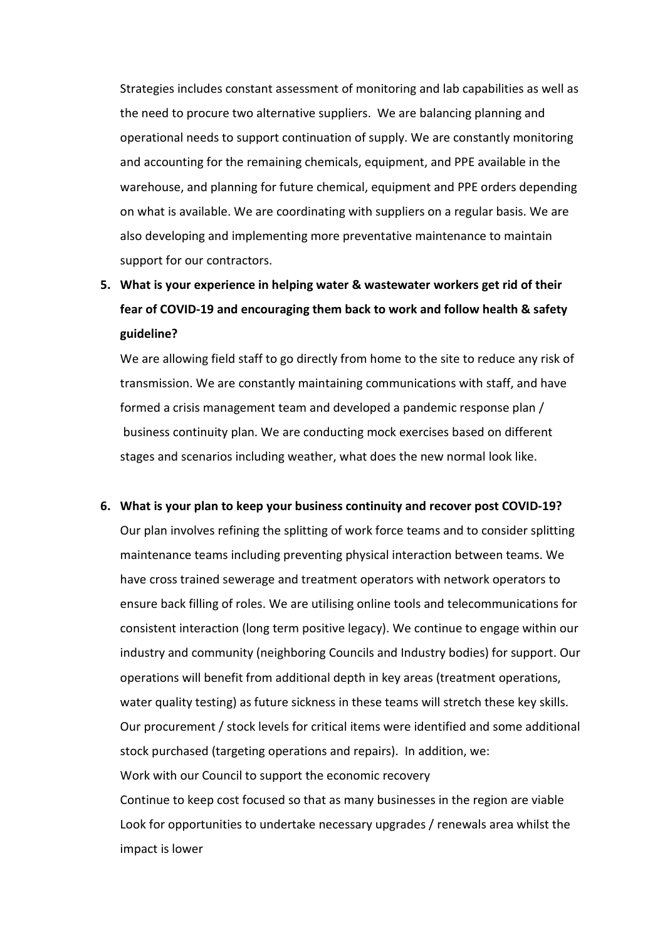Strategies includes constant assessment of monitoring and lab capabilities as well as the need to procure two alternative suppliers. We are balancing planning and operational needs to support continuation of supply. We are constantly monitoring and accounting for the remaining chemicals, equipment, and PPE available in the warehouse, and planning for future chemical, equipment and PPE orders depending on what is available. We are coordinating with suppliers on a regular basis. We are also developing and implementing more preventative maintenance to maintain support for our contractors.

**5. What is your experience in helping water & wastewater workers get rid of their fear of COVID-19 and encouraging them back to work and follow health & safety guideline?**

We are allowing field staff to go directly from home to the site to reduce any risk of transmission. We are constantly maintaining communications with staff, and have formed a crisis management team and developed a pandemic response plan / business continuity plan. We are conducting mock exercises based on different stages and scenarios including weather, what does the new normal look like.

**6. What is your plan to keep your business continuity and recover post COVID-19?**

Our plan involves refining the splitting of work force teams and to consider splitting maintenance teams including preventing physical interaction between teams. We have cross trained sewerage and treatment operators with network operators to ensure back filling of roles. We are utilising online tools and telecommunications for consistent interaction (long term positive legacy). We continue to engage within our industry and community (neighboring Councils and Industry bodies) for support. Our operations will benefit from additional depth in key areas (treatment operations, water quality testing) as future sickness in these teams will stretch these key skills. Our procurement / stock levels for critical items were identified and some additional stock purchased (targeting operations and repairs). In addition, we: Work with our Council to support the economic recovery Continue to keep cost focused so that as many businesses in the region are viable Look for opportunities to undertake necessary upgrades / renewals area whilst the impact is lower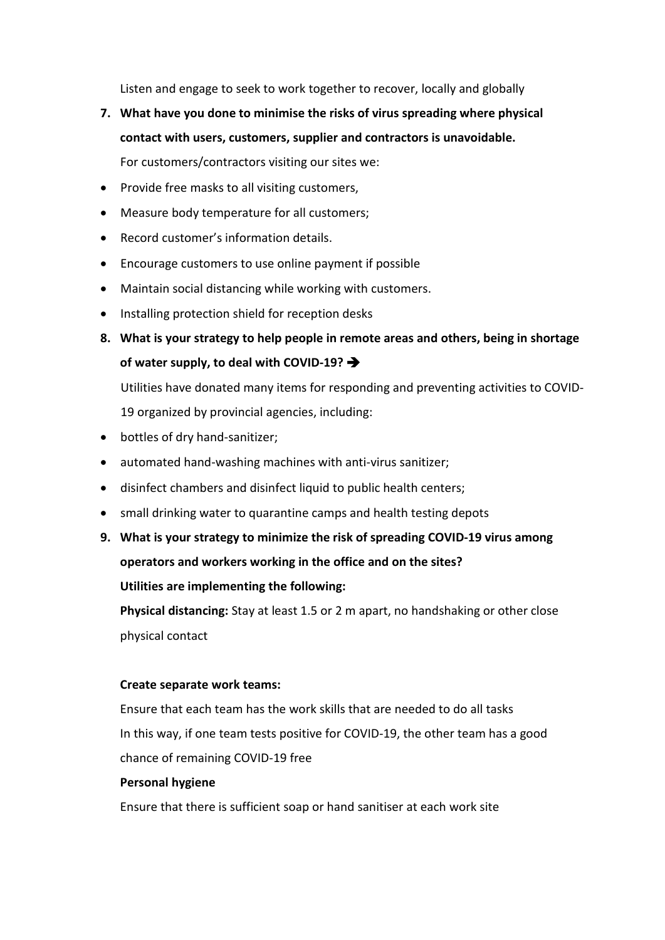Listen and engage to seek to work together to recover, locally and globally

- **7. What have you done to minimise the risks of virus spreading where physical contact with users, customers, supplier and contractors is unavoidable.**  For customers/contractors visiting our sites we:
- Provide free masks to all visiting customers,
- Measure body temperature for all customers;
- Record customer's information details.
- Encourage customers to use online payment if possible
- Maintain social distancing while working with customers.
- Installing protection shield for reception desks
- **8. What is your strategy to help people in remote areas and others, being in shortage of water supply, to deal with COVID-19?**

Utilities have donated many items for responding and preventing activities to COVID-19 organized by provincial agencies, including:

- bottles of dry hand-sanitizer;
- automated hand-washing machines with anti-virus sanitizer;
- disinfect chambers and disinfect liquid to public health centers;
- small drinking water to quarantine camps and health testing depots
- **9. What is your strategy to minimize the risk of spreading COVID-19 virus among operators and workers working in the office and on the sites?**

**Utilities are implementing the following:**

**Physical distancing:** Stay at least 1.5 or 2 m apart, no handshaking or other close physical contact

#### **Create separate work teams:**

Ensure that each team has the work skills that are needed to do all tasks In this way, if one team tests positive for COVID-19, the other team has a good chance of remaining COVID-19 free

### **Personal hygiene**

Ensure that there is sufficient soap or hand sanitiser at each work site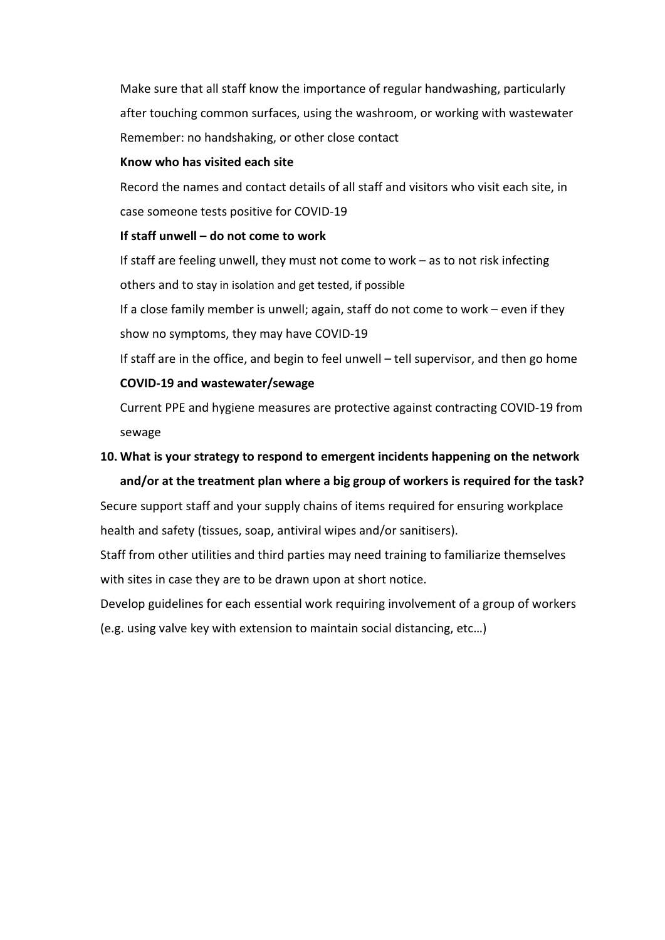Make sure that all staff know the importance of regular handwashing, particularly after touching common surfaces, using the washroom, or working with wastewater Remember: no handshaking, or other close contact

#### **Know who has visited each site**

Record the names and contact details of all staff and visitors who visit each site, in case someone tests positive for COVID-19

#### **If staff unwell – do not come to work**

If staff are feeling unwell, they must not come to work – as to not risk infecting others and to stay in isolation and get tested, if possible

If a close family member is unwell; again, staff do not come to work – even if they show no symptoms, they may have COVID-19

If staff are in the office, and begin to feel unwell – tell supervisor, and then go home **COVID-19 and wastewater/sewage**

Current PPE and hygiene measures are protective against contracting COVID-19 from sewage

# **10. What is your strategy to respond to emergent incidents happening on the network and/or at the treatment plan where a big group of workers is required for the task?**

Secure support staff and your supply chains of items required for ensuring workplace health and safety (tissues, soap, antiviral wipes and/or sanitisers).

Staff from other utilities and third parties may need training to familiarize themselves with sites in case they are to be drawn upon at short notice.

Develop guidelines for each essential work requiring involvement of a group of workers (e.g. using valve key with extension to maintain social distancing, etc…)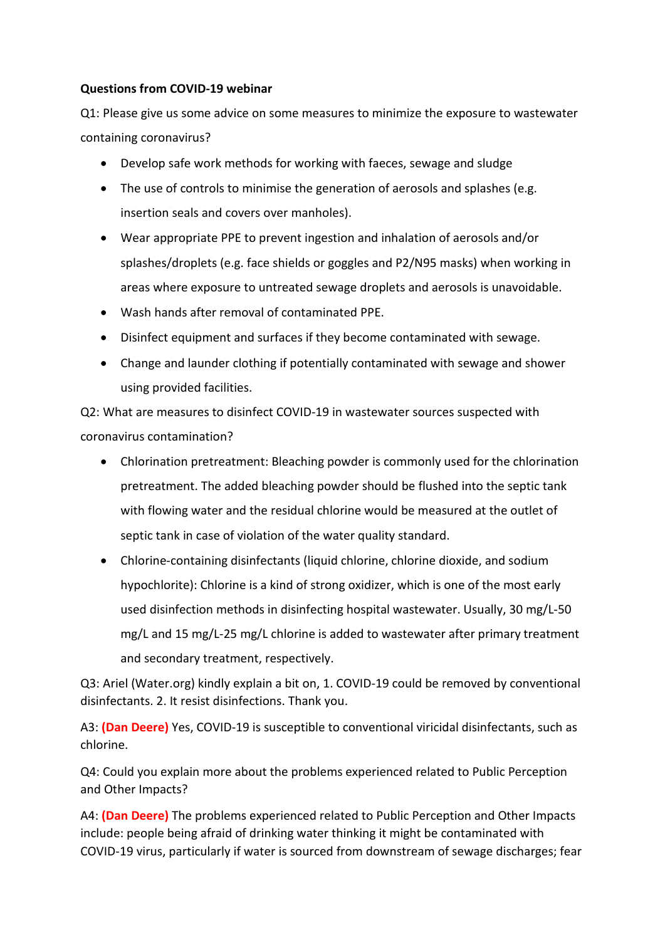## **Questions from COVID-19 webinar**

Q1: Please give us some advice on some measures to minimize the exposure to wastewater containing coronavirus?

- Develop safe work methods for working with faeces, sewage and sludge
- The use of controls to minimise the generation of aerosols and splashes (e.g. insertion seals and covers over manholes).
- Wear appropriate PPE to prevent ingestion and inhalation of aerosols and/or splashes/droplets (e.g. face shields or goggles and P2/N95 masks) when working in areas where exposure to untreated sewage droplets and aerosols is unavoidable.
- Wash hands after removal of contaminated PPE.
- Disinfect equipment and surfaces if they become contaminated with sewage.
- Change and launder clothing if potentially contaminated with sewage and shower using provided facilities.

Q2: What are measures to disinfect COVID-19 in wastewater sources suspected with coronavirus contamination?

- Chlorination pretreatment: Bleaching powder is commonly used for the chlorination pretreatment. The added bleaching powder should be flushed into the septic tank with flowing water and the residual chlorine would be measured at the outlet of septic tank in case of violation of the water quality standard.
- Chlorine-containing disinfectants (liquid chlorine, chlorine dioxide, and sodium hypochlorite): Chlorine is a kind of strong oxidizer, which is one of the most early used disinfection methods in disinfecting hospital wastewater. Usually, 30 mg/L-50 mg/L and 15 mg/L-25 mg/L chlorine is added to wastewater after primary treatment and secondary treatment, respectively.

Q3: Ariel (Water.org) kindly explain a bit on, 1. COVID-19 could be removed by conventional disinfectants. 2. It resist disinfections. Thank you.

A3: **(Dan Deere)** Yes, COVID-19 is susceptible to conventional viricidal disinfectants, such as chlorine.

Q4: Could you explain more about the problems experienced related to Public Perception and Other Impacts?

A4: **(Dan Deere)** The problems experienced related to Public Perception and Other Impacts include: people being afraid of drinking water thinking it might be contaminated with COVID-19 virus, particularly if water is sourced from downstream of sewage discharges; fear